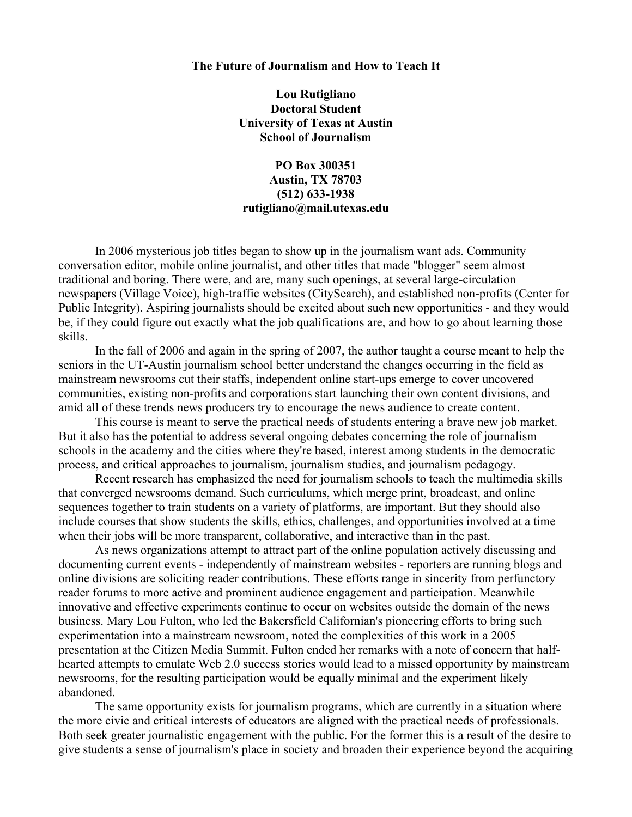#### **The Future of Journalism and How to Teach It**

**Lou Rutigliano Doctoral Student University of Texas at Austin School of Journalism**

# **PO Box 300351 Austin, TX 78703 (512) 633-1938 rutigliano@mail.utexas.edu**

In 2006 mysterious job titles began to show up in the journalism want ads. Community conversation editor, mobile online journalist, and other titles that made "blogger" seem almost traditional and boring. There were, and are, many such openings, at several large-circulation newspapers (Village Voice), high-traffic websites (CitySearch), and established non-profits (Center for Public Integrity). Aspiring journalists should be excited about such new opportunities - and they would be, if they could figure out exactly what the job qualifications are, and how to go about learning those skills.

In the fall of 2006 and again in the spring of 2007, the author taught a course meant to help the seniors in the UT-Austin journalism school better understand the changes occurring in the field as mainstream newsrooms cut their staffs, independent online start-ups emerge to cover uncovered communities, existing non-profits and corporations start launching their own content divisions, and amid all of these trends news producers try to encourage the news audience to create content.

This course is meant to serve the practical needs of students entering a brave new job market. But it also has the potential to address several ongoing debates concerning the role of journalism schools in the academy and the cities where they're based, interest among students in the democratic process, and critical approaches to journalism, journalism studies, and journalism pedagogy.

Recent research has emphasized the need for journalism schools to teach the multimedia skills that converged newsrooms demand. Such curriculums, which merge print, broadcast, and online sequences together to train students on a variety of platforms, are important. But they should also include courses that show students the skills, ethics, challenges, and opportunities involved at a time when their jobs will be more transparent, collaborative, and interactive than in the past.

As news organizations attempt to attract part of the online population actively discussing and documenting current events - independently of mainstream websites - reporters are running blogs and online divisions are soliciting reader contributions. These efforts range in sincerity from perfunctory reader forums to more active and prominent audience engagement and participation. Meanwhile innovative and effective experiments continue to occur on websites outside the domain of the news business. Mary Lou Fulton, who led the Bakersfield Californian's pioneering efforts to bring such experimentation into a mainstream newsroom, noted the complexities of this work in a 2005 presentation at the Citizen Media Summit. Fulton ended her remarks with a note of concern that halfhearted attempts to emulate Web 2.0 success stories would lead to a missed opportunity by mainstream newsrooms, for the resulting participation would be equally minimal and the experiment likely abandoned.

The same opportunity exists for journalism programs, which are currently in a situation where the more civic and critical interests of educators are aligned with the practical needs of professionals. Both seek greater journalistic engagement with the public. For the former this is a result of the desire to give students a sense of journalism's place in society and broaden their experience beyond the acquiring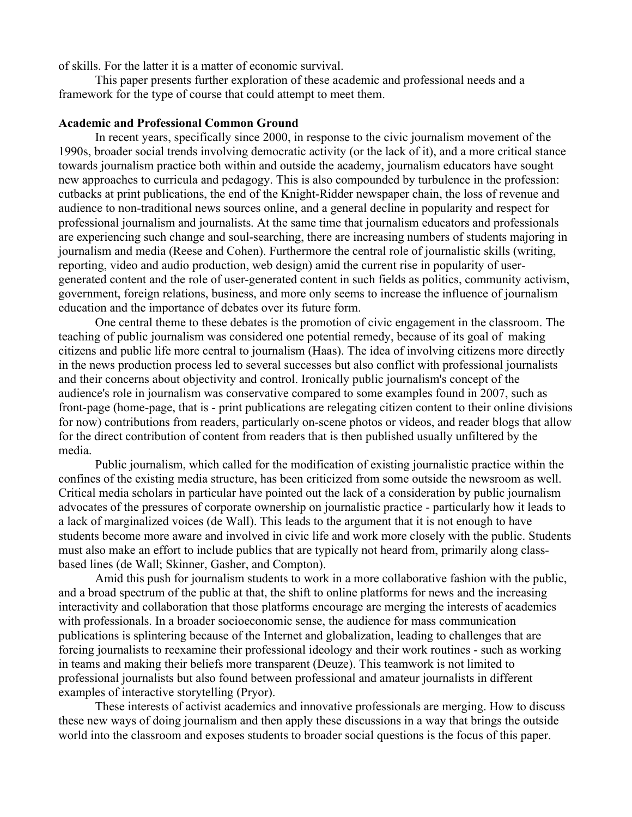of skills. For the latter it is a matter of economic survival.

This paper presents further exploration of these academic and professional needs and a framework for the type of course that could attempt to meet them.

# **Academic and Professional Common Ground**

In recent years, specifically since 2000, in response to the civic journalism movement of the 1990s, broader social trends involving democratic activity (or the lack of it), and a more critical stance towards journalism practice both within and outside the academy, journalism educators have sought new approaches to curricula and pedagogy. This is also compounded by turbulence in the profession: cutbacks at print publications, the end of the Knight-Ridder newspaper chain, the loss of revenue and audience to non-traditional news sources online, and a general decline in popularity and respect for professional journalism and journalists. At the same time that journalism educators and professionals are experiencing such change and soul-searching, there are increasing numbers of students majoring in journalism and media (Reese and Cohen). Furthermore the central role of journalistic skills (writing, reporting, video and audio production, web design) amid the current rise in popularity of usergenerated content and the role of user-generated content in such fields as politics, community activism, government, foreign relations, business, and more only seems to increase the influence of journalism education and the importance of debates over its future form.

One central theme to these debates is the promotion of civic engagement in the classroom. The teaching of public journalism was considered one potential remedy, because of its goal of making citizens and public life more central to journalism (Haas). The idea of involving citizens more directly in the news production process led to several successes but also conflict with professional journalists and their concerns about objectivity and control. Ironically public journalism's concept of the audience's role in journalism was conservative compared to some examples found in 2007, such as front-page (home-page, that is - print publications are relegating citizen content to their online divisions for now) contributions from readers, particularly on-scene photos or videos, and reader blogs that allow for the direct contribution of content from readers that is then published usually unfiltered by the media.

Public journalism, which called for the modification of existing journalistic practice within the confines of the existing media structure, has been criticized from some outside the newsroom as well. Critical media scholars in particular have pointed out the lack of a consideration by public journalism advocates of the pressures of corporate ownership on journalistic practice - particularly how it leads to a lack of marginalized voices (de Wall). This leads to the argument that it is not enough to have students become more aware and involved in civic life and work more closely with the public. Students must also make an effort to include publics that are typically not heard from, primarily along classbased lines (de Wall; Skinner, Gasher, and Compton).

Amid this push for journalism students to work in a more collaborative fashion with the public, and a broad spectrum of the public at that, the shift to online platforms for news and the increasing interactivity and collaboration that those platforms encourage are merging the interests of academics with professionals. In a broader socioeconomic sense, the audience for mass communication publications is splintering because of the Internet and globalization, leading to challenges that are forcing journalists to reexamine their professional ideology and their work routines - such as working in teams and making their beliefs more transparent (Deuze). This teamwork is not limited to professional journalists but also found between professional and amateur journalists in different examples of interactive storytelling (Pryor).

These interests of activist academics and innovative professionals are merging. How to discuss these new ways of doing journalism and then apply these discussions in a way that brings the outside world into the classroom and exposes students to broader social questions is the focus of this paper.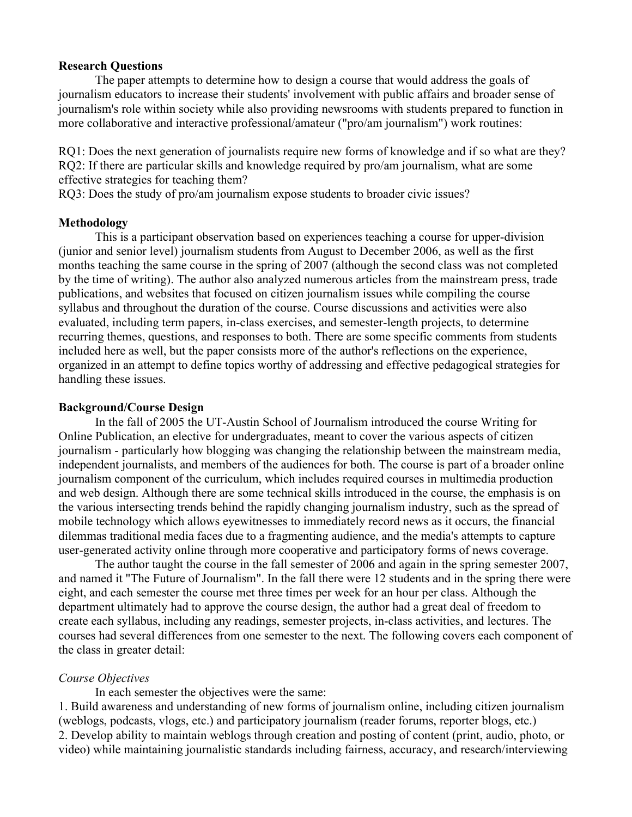## **Research Questions**

The paper attempts to determine how to design a course that would address the goals of journalism educators to increase their students' involvement with public affairs and broader sense of journalism's role within society while also providing newsrooms with students prepared to function in more collaborative and interactive professional/amateur ("pro/am journalism") work routines:

RQ1: Does the next generation of journalists require new forms of knowledge and if so what are they? RQ2: If there are particular skills and knowledge required by pro/am journalism, what are some effective strategies for teaching them?

RQ3: Does the study of pro/am journalism expose students to broader civic issues?

## **Methodology**

This is a participant observation based on experiences teaching a course for upper-division (junior and senior level) journalism students from August to December 2006, as well as the first months teaching the same course in the spring of 2007 (although the second class was not completed by the time of writing). The author also analyzed numerous articles from the mainstream press, trade publications, and websites that focused on citizen journalism issues while compiling the course syllabus and throughout the duration of the course. Course discussions and activities were also evaluated, including term papers, in-class exercises, and semester-length projects, to determine recurring themes, questions, and responses to both. There are some specific comments from students included here as well, but the paper consists more of the author's reflections on the experience, organized in an attempt to define topics worthy of addressing and effective pedagogical strategies for handling these issues.

## **Background/Course Design**

In the fall of 2005 the UT-Austin School of Journalism introduced the course Writing for Online Publication, an elective for undergraduates, meant to cover the various aspects of citizen journalism - particularly how blogging was changing the relationship between the mainstream media, independent journalists, and members of the audiences for both. The course is part of a broader online journalism component of the curriculum, which includes required courses in multimedia production and web design. Although there are some technical skills introduced in the course, the emphasis is on the various intersecting trends behind the rapidly changing journalism industry, such as the spread of mobile technology which allows eyewitnesses to immediately record news as it occurs, the financial dilemmas traditional media faces due to a fragmenting audience, and the media's attempts to capture user-generated activity online through more cooperative and participatory forms of news coverage.

The author taught the course in the fall semester of 2006 and again in the spring semester 2007, and named it "The Future of Journalism". In the fall there were 12 students and in the spring there were eight, and each semester the course met three times per week for an hour per class. Although the department ultimately had to approve the course design, the author had a great deal of freedom to create each syllabus, including any readings, semester projects, in-class activities, and lectures. The courses had several differences from one semester to the next. The following covers each component of the class in greater detail:

# *Course Objectives*

In each semester the objectives were the same:

1. Build awareness and understanding of new forms of journalism online, including citizen journalism (weblogs, podcasts, vlogs, etc.) and participatory journalism (reader forums, reporter blogs, etc.) 2. Develop ability to maintain weblogs through creation and posting of content (print, audio, photo, or video) while maintaining journalistic standards including fairness, accuracy, and research/interviewing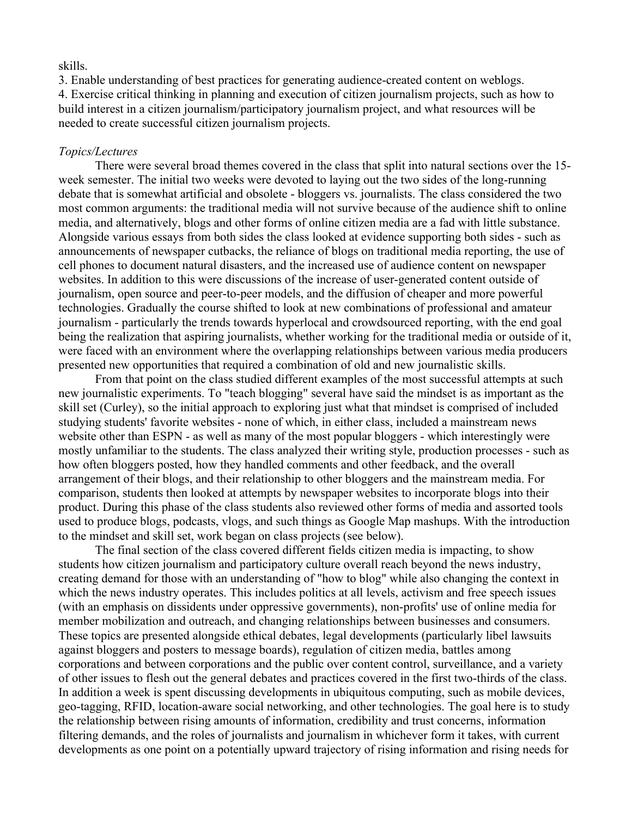### skills.

3. Enable understanding of best practices for generating audience-created content on weblogs. 4. Exercise critical thinking in planning and execution of citizen journalism projects, such as how to build interest in a citizen journalism/participatory journalism project, and what resources will be needed to create successful citizen journalism projects.

## *Topics/Lectures*

There were several broad themes covered in the class that split into natural sections over the 15 week semester. The initial two weeks were devoted to laying out the two sides of the long-running debate that is somewhat artificial and obsolete - bloggers vs. journalists. The class considered the two most common arguments: the traditional media will not survive because of the audience shift to online media, and alternatively, blogs and other forms of online citizen media are a fad with little substance. Alongside various essays from both sides the class looked at evidence supporting both sides - such as announcements of newspaper cutbacks, the reliance of blogs on traditional media reporting, the use of cell phones to document natural disasters, and the increased use of audience content on newspaper websites. In addition to this were discussions of the increase of user-generated content outside of journalism, open source and peer-to-peer models, and the diffusion of cheaper and more powerful technologies. Gradually the course shifted to look at new combinations of professional and amateur journalism - particularly the trends towards hyperlocal and crowdsourced reporting, with the end goal being the realization that aspiring journalists, whether working for the traditional media or outside of it, were faced with an environment where the overlapping relationships between various media producers presented new opportunities that required a combination of old and new journalistic skills.

From that point on the class studied different examples of the most successful attempts at such new journalistic experiments. To "teach blogging" several have said the mindset is as important as the skill set (Curley), so the initial approach to exploring just what that mindset is comprised of included studying students' favorite websites - none of which, in either class, included a mainstream news website other than ESPN - as well as many of the most popular bloggers - which interestingly were mostly unfamiliar to the students. The class analyzed their writing style, production processes - such as how often bloggers posted, how they handled comments and other feedback, and the overall arrangement of their blogs, and their relationship to other bloggers and the mainstream media. For comparison, students then looked at attempts by newspaper websites to incorporate blogs into their product. During this phase of the class students also reviewed other forms of media and assorted tools used to produce blogs, podcasts, vlogs, and such things as Google Map mashups. With the introduction to the mindset and skill set, work began on class projects (see below).

The final section of the class covered different fields citizen media is impacting, to show students how citizen journalism and participatory culture overall reach beyond the news industry, creating demand for those with an understanding of "how to blog" while also changing the context in which the news industry operates. This includes politics at all levels, activism and free speech issues (with an emphasis on dissidents under oppressive governments), non-profits' use of online media for member mobilization and outreach, and changing relationships between businesses and consumers. These topics are presented alongside ethical debates, legal developments (particularly libel lawsuits against bloggers and posters to message boards), regulation of citizen media, battles among corporations and between corporations and the public over content control, surveillance, and a variety of other issues to flesh out the general debates and practices covered in the first two-thirds of the class. In addition a week is spent discussing developments in ubiquitous computing, such as mobile devices, geo-tagging, RFID, location-aware social networking, and other technologies. The goal here is to study the relationship between rising amounts of information, credibility and trust concerns, information filtering demands, and the roles of journalists and journalism in whichever form it takes, with current developments as one point on a potentially upward trajectory of rising information and rising needs for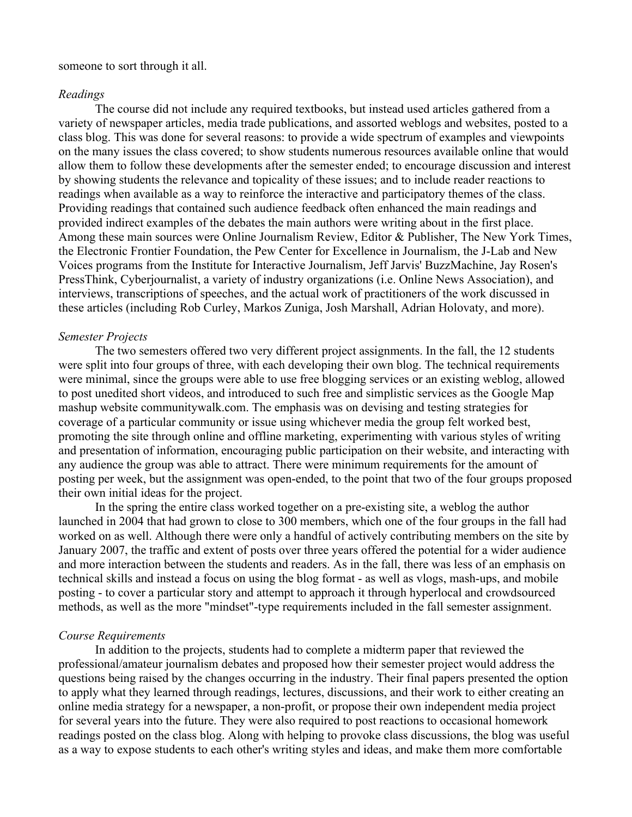## someone to sort through it all.

## *Readings*

The course did not include any required textbooks, but instead used articles gathered from a variety of newspaper articles, media trade publications, and assorted weblogs and websites, posted to a class blog. This was done for several reasons: to provide a wide spectrum of examples and viewpoints on the many issues the class covered; to show students numerous resources available online that would allow them to follow these developments after the semester ended; to encourage discussion and interest by showing students the relevance and topicality of these issues; and to include reader reactions to readings when available as a way to reinforce the interactive and participatory themes of the class. Providing readings that contained such audience feedback often enhanced the main readings and provided indirect examples of the debates the main authors were writing about in the first place. Among these main sources were Online Journalism Review, Editor & Publisher, The New York Times, the Electronic Frontier Foundation, the Pew Center for Excellence in Journalism, the J-Lab and New Voices programs from the Institute for Interactive Journalism, Jeff Jarvis' BuzzMachine, Jay Rosen's PressThink, Cyberjournalist, a variety of industry organizations (i.e. Online News Association), and interviews, transcriptions of speeches, and the actual work of practitioners of the work discussed in these articles (including Rob Curley, Markos Zuniga, Josh Marshall, Adrian Holovaty, and more).

#### *Semester Projects*

The two semesters offered two very different project assignments. In the fall, the 12 students were split into four groups of three, with each developing their own blog. The technical requirements were minimal, since the groups were able to use free blogging services or an existing weblog, allowed to post unedited short videos, and introduced to such free and simplistic services as the Google Map mashup website communitywalk.com. The emphasis was on devising and testing strategies for coverage of a particular community or issue using whichever media the group felt worked best, promoting the site through online and offline marketing, experimenting with various styles of writing and presentation of information, encouraging public participation on their website, and interacting with any audience the group was able to attract. There were minimum requirements for the amount of posting per week, but the assignment was open-ended, to the point that two of the four groups proposed their own initial ideas for the project.

In the spring the entire class worked together on a pre-existing site, a weblog the author launched in 2004 that had grown to close to 300 members, which one of the four groups in the fall had worked on as well. Although there were only a handful of actively contributing members on the site by January 2007, the traffic and extent of posts over three years offered the potential for a wider audience and more interaction between the students and readers. As in the fall, there was less of an emphasis on technical skills and instead a focus on using the blog format - as well as vlogs, mash-ups, and mobile posting - to cover a particular story and attempt to approach it through hyperlocal and crowdsourced methods, as well as the more "mindset"-type requirements included in the fall semester assignment.

## *Course Requirements*

In addition to the projects, students had to complete a midterm paper that reviewed the professional/amateur journalism debates and proposed how their semester project would address the questions being raised by the changes occurring in the industry. Their final papers presented the option to apply what they learned through readings, lectures, discussions, and their work to either creating an online media strategy for a newspaper, a non-profit, or propose their own independent media project for several years into the future. They were also required to post reactions to occasional homework readings posted on the class blog. Along with helping to provoke class discussions, the blog was useful as a way to expose students to each other's writing styles and ideas, and make them more comfortable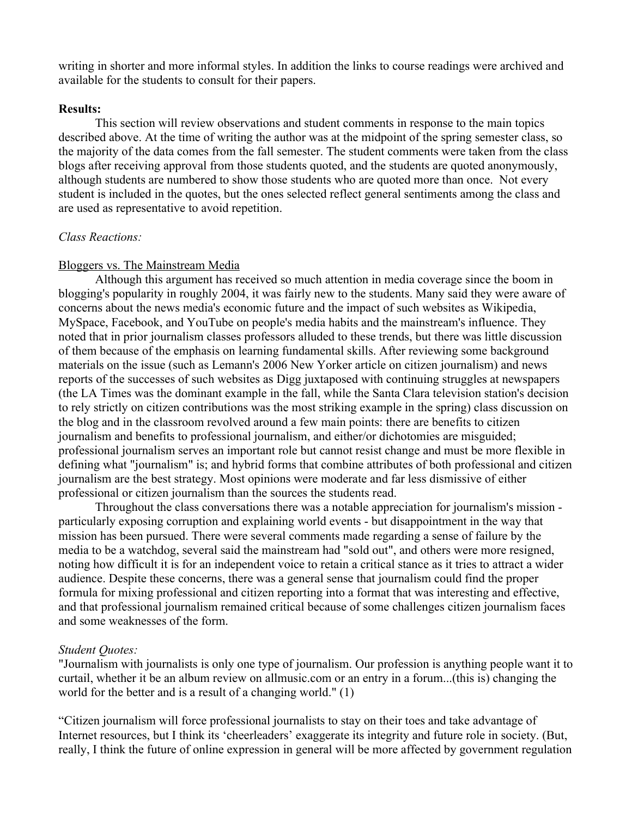writing in shorter and more informal styles. In addition the links to course readings were archived and available for the students to consult for their papers.

# **Results:**

This section will review observations and student comments in response to the main topics described above. At the time of writing the author was at the midpoint of the spring semester class, so the majority of the data comes from the fall semester. The student comments were taken from the class blogs after receiving approval from those students quoted, and the students are quoted anonymously, although students are numbered to show those students who are quoted more than once. Not every student is included in the quotes, but the ones selected reflect general sentiments among the class and are used as representative to avoid repetition.

# *Class Reactions:*

# Bloggers vs. The Mainstream Media

Although this argument has received so much attention in media coverage since the boom in blogging's popularity in roughly 2004, it was fairly new to the students. Many said they were aware of concerns about the news media's economic future and the impact of such websites as Wikipedia, MySpace, Facebook, and YouTube on people's media habits and the mainstream's influence. They noted that in prior journalism classes professors alluded to these trends, but there was little discussion of them because of the emphasis on learning fundamental skills. After reviewing some background materials on the issue (such as Lemann's 2006 New Yorker article on citizen journalism) and news reports of the successes of such websites as Digg juxtaposed with continuing struggles at newspapers (the LA Times was the dominant example in the fall, while the Santa Clara television station's decision to rely strictly on citizen contributions was the most striking example in the spring) class discussion on the blog and in the classroom revolved around a few main points: there are benefits to citizen journalism and benefits to professional journalism, and either/or dichotomies are misguided; professional journalism serves an important role but cannot resist change and must be more flexible in defining what "journalism" is; and hybrid forms that combine attributes of both professional and citizen journalism are the best strategy. Most opinions were moderate and far less dismissive of either professional or citizen journalism than the sources the students read.

Throughout the class conversations there was a notable appreciation for journalism's mission particularly exposing corruption and explaining world events - but disappointment in the way that mission has been pursued. There were several comments made regarding a sense of failure by the media to be a watchdog, several said the mainstream had "sold out", and others were more resigned, noting how difficult it is for an independent voice to retain a critical stance as it tries to attract a wider audience. Despite these concerns, there was a general sense that journalism could find the proper formula for mixing professional and citizen reporting into a format that was interesting and effective, and that professional journalism remained critical because of some challenges citizen journalism faces and some weaknesses of the form.

## *Student Quotes:*

"Journalism with journalists is only one type of journalism. Our profession is anything people want it to curtail, whether it be an album review on allmusic.com or an entry in a forum...(this is) changing the world for the better and is a result of a changing world." (1)

"Citizen journalism will force professional journalists to stay on their toes and take advantage of Internet resources, but I think its 'cheerleaders' exaggerate its integrity and future role in society. (But, really, I think the future of online expression in general will be more affected by government regulation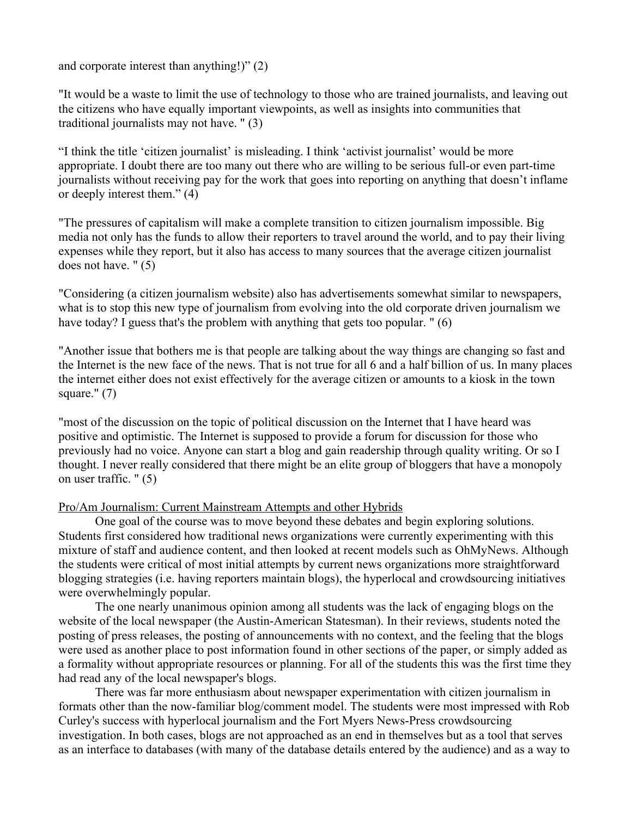and corporate interest than anything!)" (2)

"It would be a waste to limit the use of technology to those who are trained journalists, and leaving out the citizens who have equally important viewpoints, as well as insights into communities that traditional journalists may not have. " (3)

"I think the title 'citizen journalist' is misleading. I think 'activist journalist' would be more appropriate. I doubt there are too many out there who are willing to be serious full-or even part-time journalists without receiving pay for the work that goes into reporting on anything that doesn't inflame or deeply interest them." (4)

"The pressures of capitalism will make a complete transition to citizen journalism impossible. Big media not only has the funds to allow their reporters to travel around the world, and to pay their living expenses while they report, but it also has access to many sources that the average citizen journalist does not have. " (5)

"Considering (a citizen journalism website) also has advertisements somewhat similar to newspapers, what is to stop this new type of journalism from evolving into the old corporate driven journalism we have today? I guess that's the problem with anything that gets too popular. " (6)

"Another issue that bothers me is that people are talking about the way things are changing so fast and the Internet is the new face of the news. That is not true for all 6 and a half billion of us. In many places the internet either does not exist effectively for the average citizen or amounts to a kiosk in the town square." $(7)$ 

"most of the discussion on the topic of political discussion on the Internet that I have heard was positive and optimistic. The Internet is supposed to provide a forum for discussion for those who previously had no voice. Anyone can start a blog and gain readership through quality writing. Or so I thought. I never really considered that there might be an elite group of bloggers that have a monopoly on user traffic. " (5)

# Pro/Am Journalism: Current Mainstream Attempts and other Hybrids

One goal of the course was to move beyond these debates and begin exploring solutions. Students first considered how traditional news organizations were currently experimenting with this mixture of staff and audience content, and then looked at recent models such as OhMyNews. Although the students were critical of most initial attempts by current news organizations more straightforward blogging strategies (i.e. having reporters maintain blogs), the hyperlocal and crowdsourcing initiatives were overwhelmingly popular.

The one nearly unanimous opinion among all students was the lack of engaging blogs on the website of the local newspaper (the Austin-American Statesman). In their reviews, students noted the posting of press releases, the posting of announcements with no context, and the feeling that the blogs were used as another place to post information found in other sections of the paper, or simply added as a formality without appropriate resources or planning. For all of the students this was the first time they had read any of the local newspaper's blogs.

There was far more enthusiasm about newspaper experimentation with citizen journalism in formats other than the now-familiar blog/comment model. The students were most impressed with Rob Curley's success with hyperlocal journalism and the Fort Myers News-Press crowdsourcing investigation. In both cases, blogs are not approached as an end in themselves but as a tool that serves as an interface to databases (with many of the database details entered by the audience) and as a way to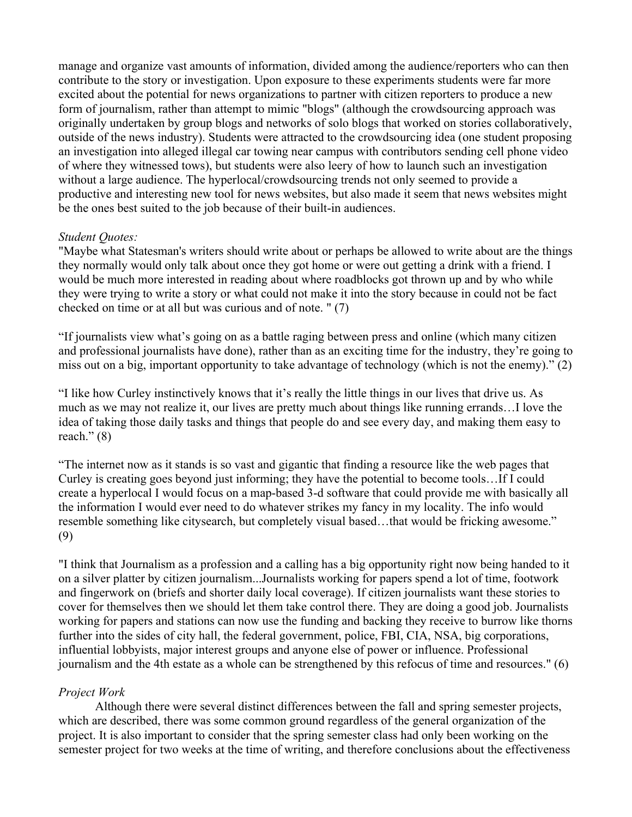manage and organize vast amounts of information, divided among the audience/reporters who can then contribute to the story or investigation. Upon exposure to these experiments students were far more excited about the potential for news organizations to partner with citizen reporters to produce a new form of journalism, rather than attempt to mimic "blogs" (although the crowdsourcing approach was originally undertaken by group blogs and networks of solo blogs that worked on stories collaboratively, outside of the news industry). Students were attracted to the crowdsourcing idea (one student proposing an investigation into alleged illegal car towing near campus with contributors sending cell phone video of where they witnessed tows), but students were also leery of how to launch such an investigation without a large audience. The hyperlocal/crowdsourcing trends not only seemed to provide a productive and interesting new tool for news websites, but also made it seem that news websites might be the ones best suited to the job because of their built-in audiences.

# *Student Quotes:*

"Maybe what Statesman's writers should write about or perhaps be allowed to write about are the things they normally would only talk about once they got home or were out getting a drink with a friend. I would be much more interested in reading about where roadblocks got thrown up and by who while they were trying to write a story or what could not make it into the story because in could not be fact checked on time or at all but was curious and of note. " (7)

"If journalists view what's going on as a battle raging between press and online (which many citizen and professional journalists have done), rather than as an exciting time for the industry, they're going to miss out on a big, important opportunity to take advantage of technology (which is not the enemy)." (2)

"I like how Curley instinctively knows that it's really the little things in our lives that drive us. As much as we may not realize it, our lives are pretty much about things like running errands…I love the idea of taking those daily tasks and things that people do and see every day, and making them easy to reach." $(8)$ 

"The internet now as it stands is so vast and gigantic that finding a resource like the web pages that Curley is creating goes beyond just informing; they have the potential to become tools…If I could create a hyperlocal I would focus on a map-based 3-d software that could provide me with basically all the information I would ever need to do whatever strikes my fancy in my locality. The info would resemble something like citysearch, but completely visual based…that would be fricking awesome." (9)

"I think that Journalism as a profession and a calling has a big opportunity right now being handed to it on a silver platter by citizen journalism...Journalists working for papers spend a lot of time, footwork and fingerwork on (briefs and shorter daily local coverage). If citizen journalists want these stories to cover for themselves then we should let them take control there. They are doing a good job. Journalists working for papers and stations can now use the funding and backing they receive to burrow like thorns further into the sides of city hall, the federal government, police, FBI, CIA, NSA, big corporations, influential lobbyists, major interest groups and anyone else of power or influence. Professional journalism and the 4th estate as a whole can be strengthened by this refocus of time and resources." (6)

# *Project Work*

Although there were several distinct differences between the fall and spring semester projects, which are described, there was some common ground regardless of the general organization of the project. It is also important to consider that the spring semester class had only been working on the semester project for two weeks at the time of writing, and therefore conclusions about the effectiveness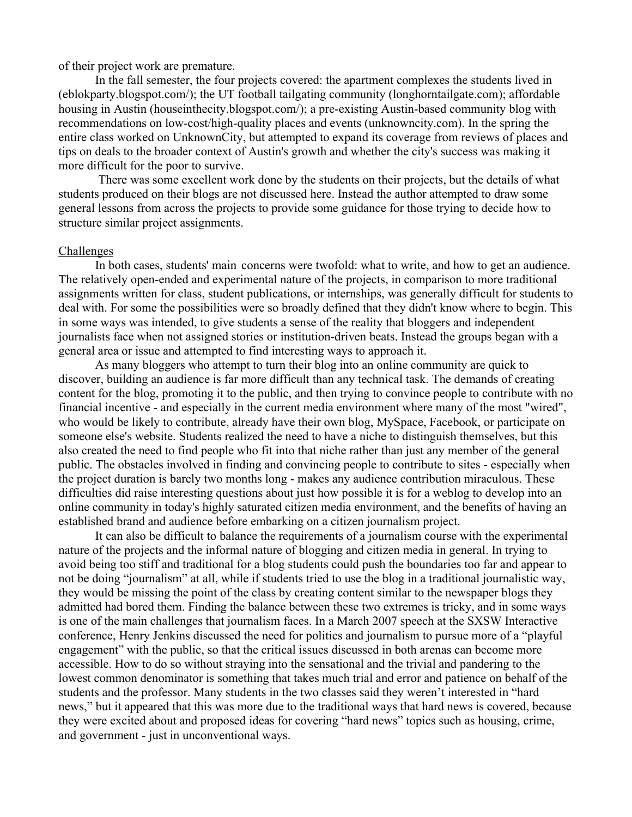of their project work are premature.

In the fall semester, the four projects covered: the apartment complexes the students lived in (eblokparty.blogspot.com/); the UT football tailgating community (longhorntailgate.com); affordable housing in Austin (houseinthecity.blogspot.com/); a pre-existing Austin-based community blog with recommendations on low-cost/high-quality places and events (unknowncity.com). In the spring the entire class worked on UnknownCity, but attempted to expand its coverage from reviews of places and tips on deals to the broader context of Austin's growth and whether the city's success was making it more difficult for the poor to survive.

 There was some excellent work done by the students on their projects, but the details of what students produced on their blogs are not discussed here. Instead the author attempted to draw some general lessons from across the projects to provide some guidance for those trying to decide how to structure similar project assignments.

#### **Challenges**

In both cases, students' main concerns were twofold: what to write, and how to get an audience. The relatively open-ended and experimental nature of the projects, in comparison to more traditional assignments written for class, student publications, or internships, was generally difficult for students to deal with. For some the possibilities were so broadly defined that they didn't know where to begin. This in some ways was intended, to give students a sense of the reality that bloggers and independent journalists face when not assigned stories or institution-driven beats. Instead the groups began with a general area or issue and attempted to find interesting ways to approach it.

As many bloggers who attempt to turn their blog into an online community are quick to discover, building an audience is far more difficult than any technical task. The demands of creating content for the blog, promoting it to the public, and then trying to convince people to contribute with no financial incentive - and especially in the current media environment where many of the most "wired", who would be likely to contribute, already have their own blog, MySpace, Facebook, or participate on someone else's website. Students realized the need to have a niche to distinguish themselves, but this also created the need to find people who fit into that niche rather than just any member of the general public. The obstacles involved in finding and convincing people to contribute to sites - especially when the project duration is barely two months long - makes any audience contribution miraculous. These difficulties did raise interesting questions about just how possible it is for a weblog to develop into an online community in today's highly saturated citizen media environment, and the benefits of having an established brand and audience before embarking on a citizen journalism project.

It can also be difficult to balance the requirements of a journalism course with the experimental nature of the projects and the informal nature of blogging and citizen media in general. In trying to avoid being too stiff and traditional for a blog students could push the boundaries too far and appear to not be doing "journalism" at all, while if students tried to use the blog in a traditional journalistic way, they would be missing the point of the class by creating content similar to the newspaper blogs they admitted had bored them. Finding the balance between these two extremes is tricky, and in some ways is one of the main challenges that journalism faces. In a March 2007 speech at the SXSW Interactive conference, Henry Jenkins discussed the need for politics and journalism to pursue more of a "playful engagement" with the public, so that the critical issues discussed in both arenas can become more accessible. How to do so without straying into the sensational and the trivial and pandering to the lowest common denominator is something that takes much trial and error and patience on behalf of the students and the professor. Many students in the two classes said they weren't interested in "hard news," but it appeared that this was more due to the traditional ways that hard news is covered, because they were excited about and proposed ideas for covering "hard news" topics such as housing, crime, and government - just in unconventional ways.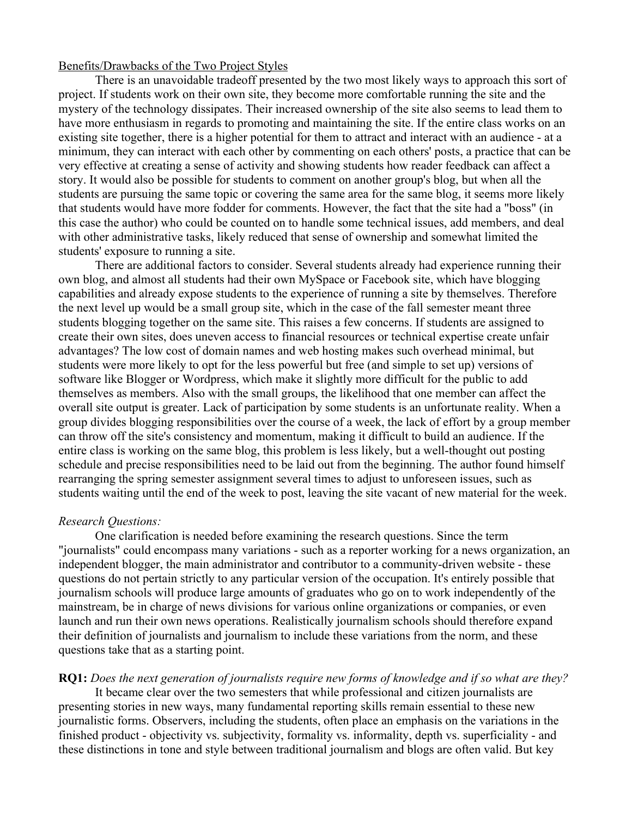#### Benefits/Drawbacks of the Two Project Styles

There is an unavoidable tradeoff presented by the two most likely ways to approach this sort of project. If students work on their own site, they become more comfortable running the site and the mystery of the technology dissipates. Their increased ownership of the site also seems to lead them to have more enthusiasm in regards to promoting and maintaining the site. If the entire class works on an existing site together, there is a higher potential for them to attract and interact with an audience - at a minimum, they can interact with each other by commenting on each others' posts, a practice that can be very effective at creating a sense of activity and showing students how reader feedback can affect a story. It would also be possible for students to comment on another group's blog, but when all the students are pursuing the same topic or covering the same area for the same blog, it seems more likely that students would have more fodder for comments. However, the fact that the site had a "boss" (in this case the author) who could be counted on to handle some technical issues, add members, and deal with other administrative tasks, likely reduced that sense of ownership and somewhat limited the students' exposure to running a site.

There are additional factors to consider. Several students already had experience running their own blog, and almost all students had their own MySpace or Facebook site, which have blogging capabilities and already expose students to the experience of running a site by themselves. Therefore the next level up would be a small group site, which in the case of the fall semester meant three students blogging together on the same site. This raises a few concerns. If students are assigned to create their own sites, does uneven access to financial resources or technical expertise create unfair advantages? The low cost of domain names and web hosting makes such overhead minimal, but students were more likely to opt for the less powerful but free (and simple to set up) versions of software like Blogger or Wordpress, which make it slightly more difficult for the public to add themselves as members. Also with the small groups, the likelihood that one member can affect the overall site output is greater. Lack of participation by some students is an unfortunate reality. When a group divides blogging responsibilities over the course of a week, the lack of effort by a group member can throw off the site's consistency and momentum, making it difficult to build an audience. If the entire class is working on the same blog, this problem is less likely, but a well-thought out posting schedule and precise responsibilities need to be laid out from the beginning. The author found himself rearranging the spring semester assignment several times to adjust to unforeseen issues, such as students waiting until the end of the week to post, leaving the site vacant of new material for the week.

### *Research Questions:*

One clarification is needed before examining the research questions. Since the term "journalists" could encompass many variations - such as a reporter working for a news organization, an independent blogger, the main administrator and contributor to a community-driven website - these questions do not pertain strictly to any particular version of the occupation. It's entirely possible that journalism schools will produce large amounts of graduates who go on to work independently of the mainstream, be in charge of news divisions for various online organizations or companies, or even launch and run their own news operations. Realistically journalism schools should therefore expand their definition of journalists and journalism to include these variations from the norm, and these questions take that as a starting point.

## **RQ1:** *Does the next generation of journalists require new forms of knowledge and if so what are they?*

It became clear over the two semesters that while professional and citizen journalists are presenting stories in new ways, many fundamental reporting skills remain essential to these new journalistic forms. Observers, including the students, often place an emphasis on the variations in the finished product - objectivity vs. subjectivity, formality vs. informality, depth vs. superficiality - and these distinctions in tone and style between traditional journalism and blogs are often valid. But key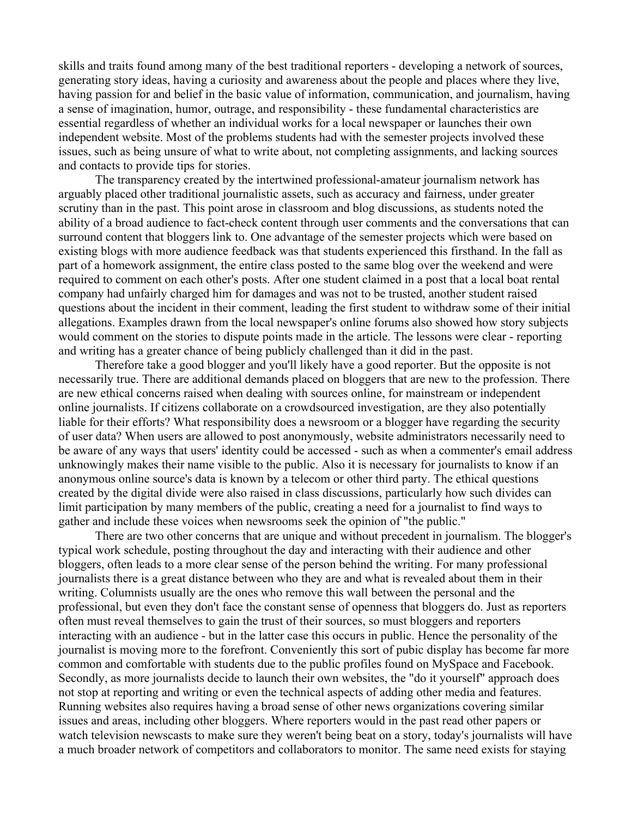skills and traits found among many of the best traditional reporters - developing a network of sources, generating story ideas, having a curiosity and awareness about the people and places where they live, having passion for and belief in the basic value of information, communication, and journalism, having a sense of imagination, humor, outrage, and responsibility - these fundamental characteristics are essential regardless of whether an individual works for a local newspaper or launches their own independent website. Most of the problems students had with the semester projects involved these issues, such as being unsure of what to write about, not completing assignments, and lacking sources and contacts to provide tips for stories.

The transparency created by the intertwined professional-amateur journalism network has arguably placed other traditional journalistic assets, such as accuracy and fairness, under greater scrutiny than in the past. This point arose in classroom and blog discussions, as students noted the ability of a broad audience to fact-check content through user comments and the conversations that can surround content that bloggers link to. One advantage of the semester projects which were based on existing blogs with more audience feedback was that students experienced this firsthand. In the fall as part of a homework assignment, the entire class posted to the same blog over the weekend and were required to comment on each other's posts. After one student claimed in a post that a local boat rental company had unfairly charged him for damages and was not to be trusted, another student raised questions about the incident in their comment, leading the first student to withdraw some of their initial allegations. Examples drawn from the local newspaper's online forums also showed how story subjects would comment on the stories to dispute points made in the article. The lessons were clear - reporting and writing has a greater chance of being publicly challenged than it did in the past.

Therefore take a good blogger and you'll likely have a good reporter. But the opposite is not necessarily true. There are additional demands placed on bloggers that are new to the profession. There are new ethical concerns raised when dealing with sources online, for mainstream or independent online journalists. If citizens collaborate on a crowdsourced investigation, are they also potentially liable for their efforts? What responsibility does a newsroom or a blogger have regarding the security of user data? When users are allowed to post anonymously, website administrators necessarily need to be aware of any ways that users' identity could be accessed - such as when a commenter's email address unknowingly makes their name visible to the public. Also it is necessary for journalists to know if an anonymous online source's data is known by a telecom or other third party. The ethical questions created by the digital divide were also raised in class discussions, particularly how such divides can limit participation by many members of the public, creating a need for a journalist to find ways to gather and include these voices when newsrooms seek the opinion of "the public."

There are two other concerns that are unique and without precedent in journalism. The blogger's typical work schedule, posting throughout the day and interacting with their audience and other bloggers, often leads to a more clear sense of the person behind the writing. For many professional journalists there is a great distance between who they are and what is revealed about them in their writing. Columnists usually are the ones who remove this wall between the personal and the professional, but even they don't face the constant sense of openness that bloggers do. Just as reporters often must reveal themselves to gain the trust of their sources, so must bloggers and reporters interacting with an audience - but in the latter case this occurs in public. Hence the personality of the journalist is moving more to the forefront. Conveniently this sort of pubic display has become far more common and comfortable with students due to the public profiles found on MySpace and Facebook. Secondly, as more journalists decide to launch their own websites, the "do it yourself" approach does not stop at reporting and writing or even the technical aspects of adding other media and features. Running websites also requires having a broad sense of other news organizations covering similar issues and areas, including other bloggers. Where reporters would in the past read other papers or watch television newscasts to make sure they weren't being beat on a story, today's journalists will have a much broader network of competitors and collaborators to monitor. The same need exists for staying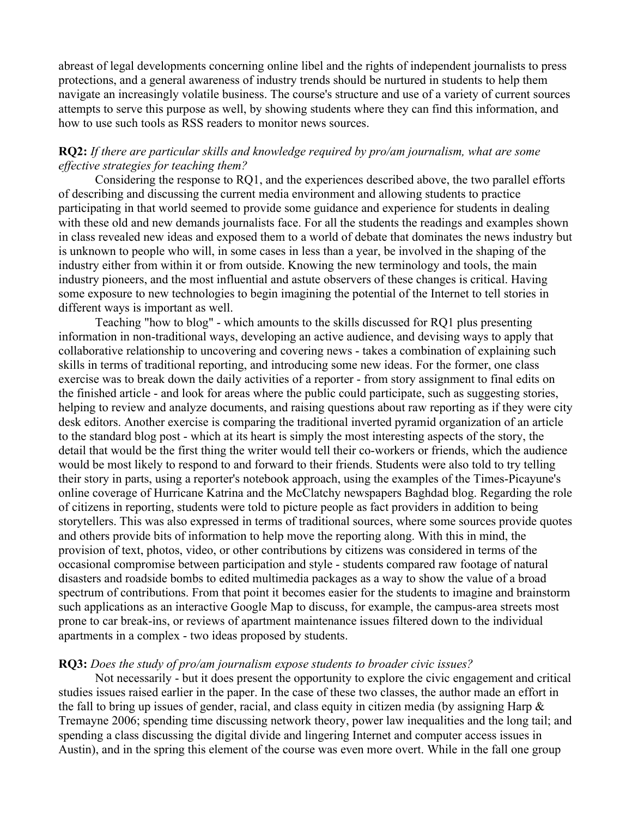abreast of legal developments concerning online libel and the rights of independent journalists to press protections, and a general awareness of industry trends should be nurtured in students to help them navigate an increasingly volatile business. The course's structure and use of a variety of current sources attempts to serve this purpose as well, by showing students where they can find this information, and how to use such tools as RSS readers to monitor news sources.

# **RQ2:** *If there are particular skills and knowledge required by pro/am journalism, what are some effective strategies for teaching them?*

Considering the response to RQ1, and the experiences described above, the two parallel efforts of describing and discussing the current media environment and allowing students to practice participating in that world seemed to provide some guidance and experience for students in dealing with these old and new demands journalists face. For all the students the readings and examples shown in class revealed new ideas and exposed them to a world of debate that dominates the news industry but is unknown to people who will, in some cases in less than a year, be involved in the shaping of the industry either from within it or from outside. Knowing the new terminology and tools, the main industry pioneers, and the most influential and astute observers of these changes is critical. Having some exposure to new technologies to begin imagining the potential of the Internet to tell stories in different ways is important as well.

Teaching "how to blog" - which amounts to the skills discussed for RQ1 plus presenting information in non-traditional ways, developing an active audience, and devising ways to apply that collaborative relationship to uncovering and covering news - takes a combination of explaining such skills in terms of traditional reporting, and introducing some new ideas. For the former, one class exercise was to break down the daily activities of a reporter - from story assignment to final edits on the finished article - and look for areas where the public could participate, such as suggesting stories, helping to review and analyze documents, and raising questions about raw reporting as if they were city desk editors. Another exercise is comparing the traditional inverted pyramid organization of an article to the standard blog post - which at its heart is simply the most interesting aspects of the story, the detail that would be the first thing the writer would tell their co-workers or friends, which the audience would be most likely to respond to and forward to their friends. Students were also told to try telling their story in parts, using a reporter's notebook approach, using the examples of the Times-Picayune's online coverage of Hurricane Katrina and the McClatchy newspapers Baghdad blog. Regarding the role of citizens in reporting, students were told to picture people as fact providers in addition to being storytellers. This was also expressed in terms of traditional sources, where some sources provide quotes and others provide bits of information to help move the reporting along. With this in mind, the provision of text, photos, video, or other contributions by citizens was considered in terms of the occasional compromise between participation and style - students compared raw footage of natural disasters and roadside bombs to edited multimedia packages as a way to show the value of a broad spectrum of contributions. From that point it becomes easier for the students to imagine and brainstorm such applications as an interactive Google Map to discuss, for example, the campus-area streets most prone to car break-ins, or reviews of apartment maintenance issues filtered down to the individual apartments in a complex - two ideas proposed by students.

## **RQ3:** *Does the study of pro/am journalism expose students to broader civic issues?*

Not necessarily - but it does present the opportunity to explore the civic engagement and critical studies issues raised earlier in the paper. In the case of these two classes, the author made an effort in the fall to bring up issues of gender, racial, and class equity in citizen media (by assigning Harp  $\&$ Tremayne 2006; spending time discussing network theory, power law inequalities and the long tail; and spending a class discussing the digital divide and lingering Internet and computer access issues in Austin), and in the spring this element of the course was even more overt. While in the fall one group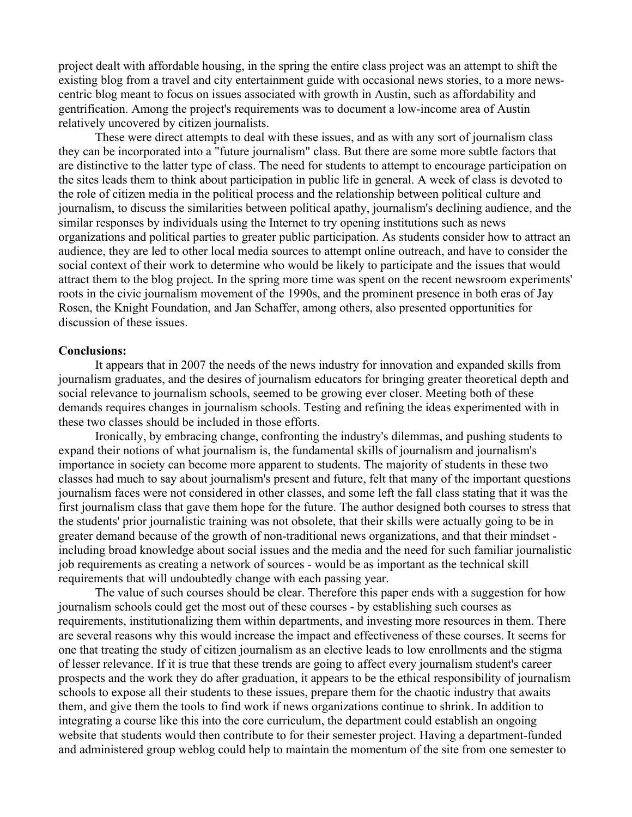project dealt with affordable housing, in the spring the entire class project was an attempt to shift the existing blog from a travel and city entertainment guide with occasional news stories, to a more newscentric blog meant to focus on issues associated with growth in Austin, such as affordability and gentrification. Among the project's requirements was to document a low-income area of Austin relatively uncovered by citizen journalists.

These were direct attempts to deal with these issues, and as with any sort of journalism class they can be incorporated into a "future journalism" class. But there are some more subtle factors that are distinctive to the latter type of class. The need for students to attempt to encourage participation on the sites leads them to think about participation in public life in general. A week of class is devoted to the role of citizen media in the political process and the relationship between political culture and journalism, to discuss the similarities between political apathy, journalism's declining audience, and the similar responses by individuals using the Internet to try opening institutions such as news organizations and political parties to greater public participation. As students consider how to attract an audience, they are led to other local media sources to attempt online outreach, and have to consider the social context of their work to determine who would be likely to participate and the issues that would attract them to the blog project. In the spring more time was spent on the recent newsroom experiments' roots in the civic journalism movement of the 1990s, and the prominent presence in both eras of Jay Rosen, the Knight Foundation, and Jan Schaffer, among others, also presented opportunities for discussion of these issues.

#### **Conclusions:**

It appears that in 2007 the needs of the news industry for innovation and expanded skills from journalism graduates, and the desires of journalism educators for bringing greater theoretical depth and social relevance to journalism schools, seemed to be growing ever closer. Meeting both of these demands requires changes in journalism schools. Testing and refining the ideas experimented with in these two classes should be included in those efforts.

Ironically, by embracing change, confronting the industry's dilemmas, and pushing students to expand their notions of what journalism is, the fundamental skills of journalism and journalism's importance in society can become more apparent to students. The majority of students in these two classes had much to say about journalism's present and future, felt that many of the important questions journalism faces were not considered in other classes, and some left the fall class stating that it was the first journalism class that gave them hope for the future. The author designed both courses to stress that the students' prior journalistic training was not obsolete, that their skills were actually going to be in greater demand because of the growth of non-traditional news organizations, and that their mindset including broad knowledge about social issues and the media and the need for such familiar journalistic job requirements as creating a network of sources - would be as important as the technical skill requirements that will undoubtedly change with each passing year.

The value of such courses should be clear. Therefore this paper ends with a suggestion for how journalism schools could get the most out of these courses - by establishing such courses as requirements, institutionalizing them within departments, and investing more resources in them. There are several reasons why this would increase the impact and effectiveness of these courses. It seems for one that treating the study of citizen journalism as an elective leads to low enrollments and the stigma of lesser relevance. If it is true that these trends are going to affect every journalism student's career prospects and the work they do after graduation, it appears to be the ethical responsibility of journalism schools to expose all their students to these issues, prepare them for the chaotic industry that awaits them, and give them the tools to find work if news organizations continue to shrink. In addition to integrating a course like this into the core curriculum, the department could establish an ongoing website that students would then contribute to for their semester project. Having a department-funded and administered group weblog could help to maintain the momentum of the site from one semester to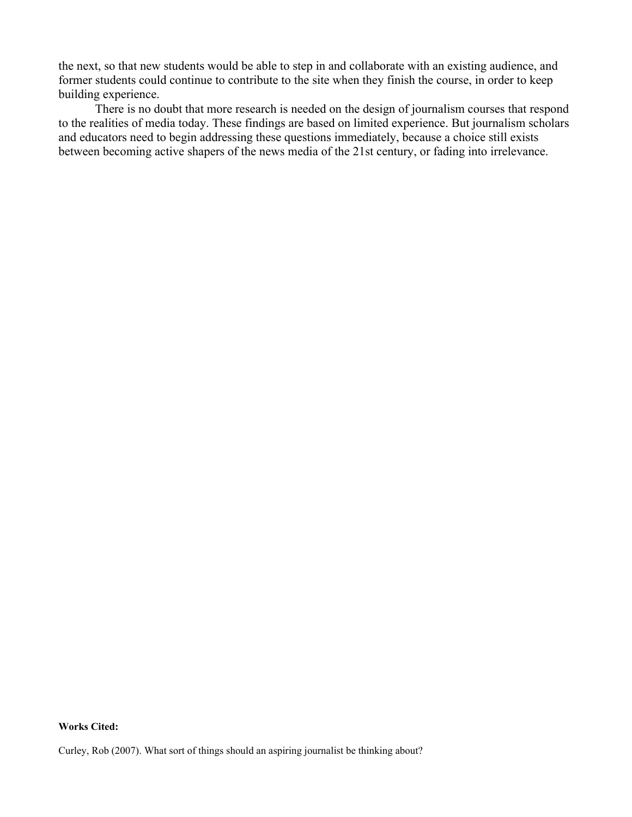the next, so that new students would be able to step in and collaborate with an existing audience, and former students could continue to contribute to the site when they finish the course, in order to keep building experience.

There is no doubt that more research is needed on the design of journalism courses that respond to the realities of media today. These findings are based on limited experience. But journalism scholars and educators need to begin addressing these questions immediately, because a choice still exists between becoming active shapers of the news media of the 21st century, or fading into irrelevance.

**Works Cited:**

Curley, Rob (2007). What sort of things should an aspiring journalist be thinking about?